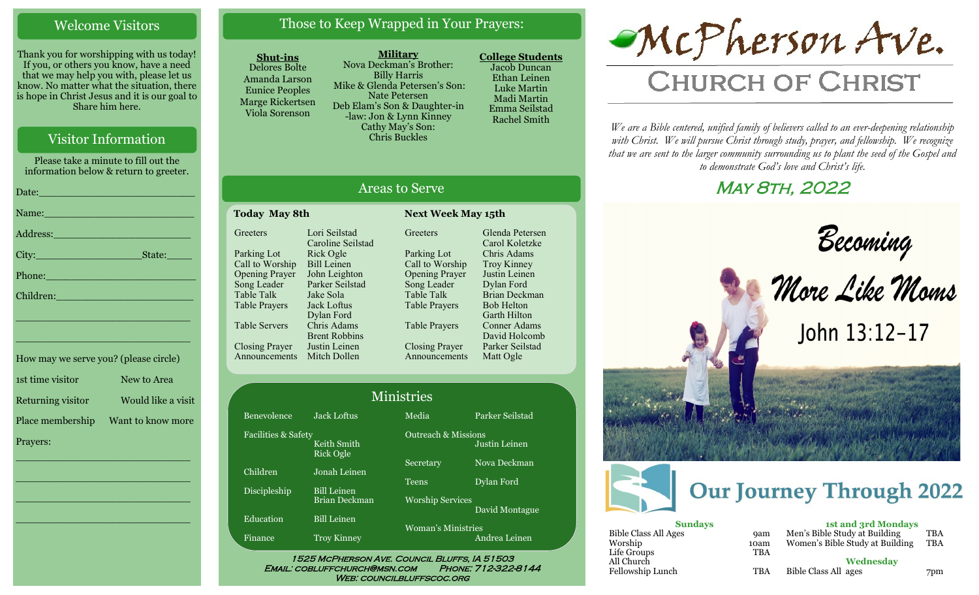### Welcome Visitors

Thank you for worshipping with us today! If you, or others you know, have a need that we may help you with, please let us know. No matter what the situation, there is hope in Christ Jesus and it is our goal to Share him here.

## Visitor Information

Please take a minute to fill out the information below & return to greeter.

| Name: Name and the second contract of the second contract of the second contract of the second contract of the        |
|-----------------------------------------------------------------------------------------------------------------------|
|                                                                                                                       |
| State:                                                                                                                |
| Phone: 2008 - 2008 - 2008 - 2019 - 2019 - 2019 - 2019 - 2019 - 2019 - 2019 - 2019 - 2019 - 2019 - 2019 - 2019         |
| Children: New York Children                                                                                           |
| <u> 1989 - Johann John Stone, meil er fan de ferske fan de ferske fan de ferske fan de ferske fan de ferske fan d</u> |
| <u> 1989 - Johann John Stone, market fan it ferstjer fan de oarste fan it ferstjer fan it ferstjer fan it ferstj</u>  |
|                                                                                                                       |

| How may we serve you? (please circle) |                    |
|---------------------------------------|--------------------|
| 1st time visitor                      | New to Area        |
| Returning visitor                     | Would like a visit |
| Place membership                      | Want to know more  |
| Prayers:                              |                    |

\_\_\_\_\_\_\_\_\_\_\_\_\_\_\_\_\_\_\_\_\_\_\_\_\_\_\_\_

\_\_\_\_\_\_\_\_\_\_\_\_\_\_\_\_\_\_\_\_\_\_\_\_\_\_\_\_

\_\_\_\_\_\_\_\_\_\_\_\_\_\_\_\_\_\_\_\_\_\_\_\_\_\_\_\_

\_\_\_\_\_\_\_\_\_\_\_\_\_\_\_\_\_\_\_\_\_\_\_\_\_\_\_\_

## Those to Keep Wrapped in Your Prayers:

#### **Shut-ins**

Benevolence

**Greeters** 

Parking Lot Call to Worship Opening Prayer Song Leader Table Talk Table Prayers

Table Servers

Closing Prayer

Announcements Mitch Dollen

Children

Discipleship

**Education** 

Finance

Facilities & Safety

Delores Bolte Amanda Larson Eunice Peoples Marge Rickertsen Viola Sorenson

**Military** Nova Deckman's Brother: Billy Harris Mike & Glenda Petersen's Son: Nate Petersen Deb Elam's Son & Daughter-in -law: Jon & Lynn Kinney Cathy May's Son: Chris Buckles

Areas to Serve

**Greeters** 

Parking Lot Call to Worship Opening Prayer Song Leader Table Talk Table Prayers

Table Prayers

Closing Prayer Announcements

**Today May 8th Next Week May 15th**

Lori Seilstad Caroline Seilstad Rick Ogle Bill Leinen John Leighton Parker Seilstad Jake Sola Jack Loftus Dylan Ford Chris Adams Brent Robbins Justin Leinen

**College Students**  Jacob Duncan Ethan Leinen Luke Martin Madi Martin Emma Seilstad Rachel Smith

Glenda Petersen Carol Koletzke Chris Adams Troy Kinney Justin Leinen Dylan Ford Brian Deckman Bob Helton Garth Hilton Conner Adams David Holcomb Parker Seilstad Matt Ogle



# **CHURCH OF CHRIST**

*We are a Bible centered, unified family of believers called to an ever-deepening relationship*  with Christ. We will pursue Christ through study, prayer, and fellowship. We recognize *that we are sent to the larger community surrounding us to plant the seed of the Gospel and to demonstrate God's love and Christ's life.*

## May 8th, 2022



1525 McPherson Ave. Council Bluffs, IA 51503 Email: cobluffchurch@msn.com Phone: 712-322-8144 WEB: COUNCILBLUFFSCOC.ORG

## Ministries

|                                     | 171111961169           |
|-------------------------------------|------------------------|
| <b>Jack Loftus</b>                  | Media                  |
| Keith Smith<br>Rick Ogle            | Outreach &             |
| Jonah Leinen                        | Secretary              |
|                                     | $\mathrm{Teens}$       |
| <b>Bill Leinen</b><br>Brian Deckman | <b>Worship</b> Se      |
| <b>Bill Leinen</b>                  | Woman's $\overline{N}$ |
| Trov Kinney                         |                        |

# Parker Seilstad

**Missions** rvices Iinistries

Andrea Leinen

Justin Leinen Nova Deckman

Dylan Ford

David Montague